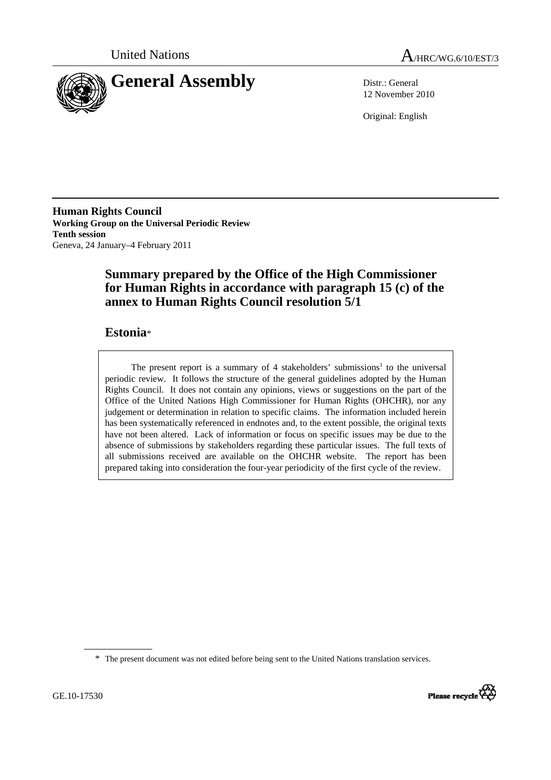



12 November 2010

Original: English

**Human Rights Council Working Group on the Universal Periodic Review Tenth session**  Geneva, 24 January–4 February 2011

# **Summary prepared by the Office of the High Commissioner for Human Rights in accordance with paragraph 15 (c) of the annex to Human Rights Council resolution 5/1**

# **Estonia**\*

The present report is a summary of 4 stakeholders' submissions<sup>1</sup> to the universal periodic review. It follows the structure of the general guidelines adopted by the Human Rights Council. It does not contain any opinions, views or suggestions on the part of the Office of the United Nations High Commissioner for Human Rights (OHCHR), nor any judgement or determination in relation to specific claims. The information included herein has been systematically referenced in endnotes and, to the extent possible, the original texts have not been altered. Lack of information or focus on specific issues may be due to the absence of submissions by stakeholders regarding these particular issues. The full texts of all submissions received are available on the OHCHR website. The report has been prepared taking into consideration the four-year periodicity of the first cycle of the review.



<sup>\*</sup> The present document was not edited before being sent to the United Nations translation services.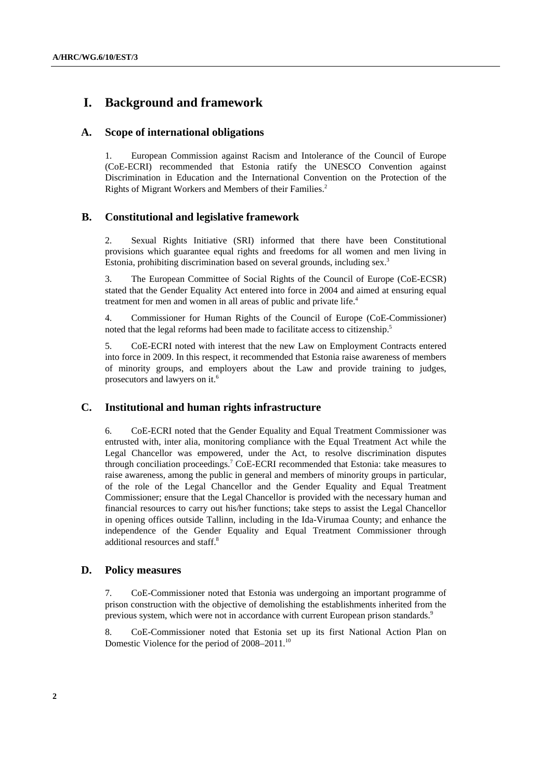# **I. Background and framework**

## **A. Scope of international obligations**

1. European Commission against Racism and Intolerance of the Council of Europe (CoE-ECRI) recommended that Estonia ratify the UNESCO Convention against Discrimination in Education and the International Convention on the Protection of the Rights of Migrant Workers and Members of their Families.<sup>2</sup>

## **B. Constitutional and legislative framework**

2. Sexual Rights Initiative (SRI) informed that there have been Constitutional provisions which guarantee equal rights and freedoms for all women and men living in Estonia, prohibiting discrimination based on several grounds, including sex.<sup>3</sup>

3. The European Committee of Social Rights of the Council of Europe (CoE-ECSR) stated that the Gender Equality Act entered into force in 2004 and aimed at ensuring equal treatment for men and women in all areas of public and private life.<sup>4</sup>

4. Commissioner for Human Rights of the Council of Europe (CoE-Commissioner) noted that the legal reforms had been made to facilitate access to citizenship.<sup>5</sup>

5. CoE-ECRI noted with interest that the new Law on Employment Contracts entered into force in 2009. In this respect, it recommended that Estonia raise awareness of members of minority groups, and employers about the Law and provide training to judges, prosecutors and lawyers on it.<sup>6</sup>

## **C. Institutional and human rights infrastructure**

6. CoE-ECRI noted that the Gender Equality and Equal Treatment Commissioner was entrusted with, inter alia, monitoring compliance with the Equal Treatment Act while the Legal Chancellor was empowered, under the Act, to resolve discrimination disputes through conciliation proceedings.<sup>7</sup> CoE-ECRI recommended that Estonia: take measures to raise awareness, among the public in general and members of minority groups in particular, of the role of the Legal Chancellor and the Gender Equality and Equal Treatment Commissioner; ensure that the Legal Chancellor is provided with the necessary human and financial resources to carry out his/her functions; take steps to assist the Legal Chancellor in opening offices outside Tallinn, including in the Ida-Virumaa County; and enhance the independence of the Gender Equality and Equal Treatment Commissioner through additional resources and staff.<sup>8</sup>

## **D. Policy measures**

7. CoE-Commissioner noted that Estonia was undergoing an important programme of prison construction with the objective of demolishing the establishments inherited from the previous system, which were not in accordance with current European prison standards.9

8. CoE-Commissioner noted that Estonia set up its first National Action Plan on Domestic Violence for the period of 2008–2011.10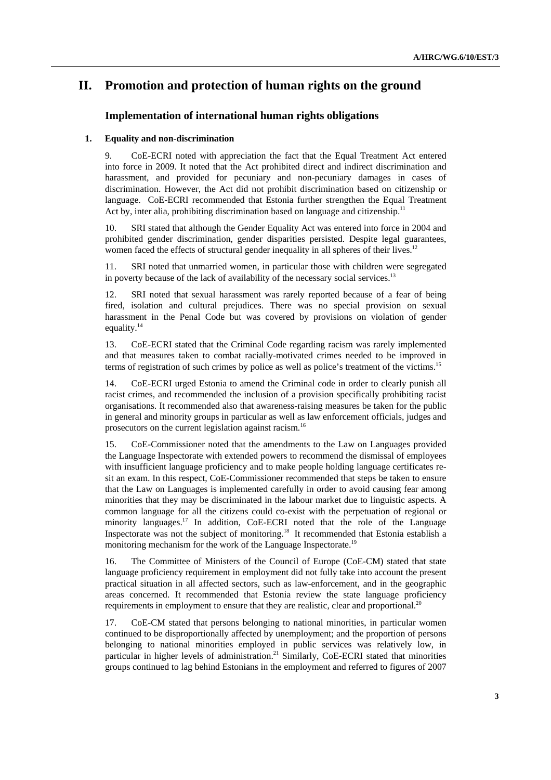# **II. Promotion and protection of human rights on the ground**

## **Implementation of international human rights obligations**

### **1. Equality and non-discrimination**

9. CoE-ECRI noted with appreciation the fact that the Equal Treatment Act entered into force in 2009. It noted that the Act prohibited direct and indirect discrimination and harassment, and provided for pecuniary and non-pecuniary damages in cases of discrimination. However, the Act did not prohibit discrimination based on citizenship or language. CoE-ECRI recommended that Estonia further strengthen the Equal Treatment Act by, inter alia, prohibiting discrimination based on language and citizenship.<sup>11</sup>

10. SRI stated that although the Gender Equality Act was entered into force in 2004 and prohibited gender discrimination, gender disparities persisted. Despite legal guarantees, women faced the effects of structural gender inequality in all spheres of their lives.<sup>12</sup>

11. SRI noted that unmarried women, in particular those with children were segregated in poverty because of the lack of availability of the necessary social services.<sup>13</sup>

12. SRI noted that sexual harassment was rarely reported because of a fear of being fired, isolation and cultural prejudices. There was no special provision on sexual harassment in the Penal Code but was covered by provisions on violation of gender equality.<sup>14</sup>

13. CoE-ECRI stated that the Criminal Code regarding racism was rarely implemented and that measures taken to combat racially-motivated crimes needed to be improved in terms of registration of such crimes by police as well as police's treatment of the victims.15

14. CoE-ECRI urged Estonia to amend the Criminal code in order to clearly punish all racist crimes, and recommended the inclusion of a provision specifically prohibiting racist organisations. It recommended also that awareness-raising measures be taken for the public in general and minority groups in particular as well as law enforcement officials, judges and prosecutors on the current legislation against racism.<sup>16</sup>

15. CoE-Commissioner noted that the amendments to the Law on Languages provided the Language Inspectorate with extended powers to recommend the dismissal of employees with insufficient language proficiency and to make people holding language certificates resit an exam. In this respect, CoE-Commissioner recommended that steps be taken to ensure that the Law on Languages is implemented carefully in order to avoid causing fear among minorities that they may be discriminated in the labour market due to linguistic aspects. A common language for all the citizens could co-exist with the perpetuation of regional or minority languages.<sup>17</sup> In addition, CoE-ECRI noted that the role of the Language Inspectorate was not the subject of monitoring.18 It recommended that Estonia establish a monitoring mechanism for the work of the Language Inspectorate.<sup>19</sup>

16. The Committee of Ministers of the Council of Europe (CoE-CM) stated that state language proficiency requirement in employment did not fully take into account the present practical situation in all affected sectors, such as law-enforcement, and in the geographic areas concerned. It recommended that Estonia review the state language proficiency requirements in employment to ensure that they are realistic, clear and proportional.<sup>20</sup>

17. CoE-CM stated that persons belonging to national minorities, in particular women continued to be disproportionally affected by unemployment; and the proportion of persons belonging to national minorities employed in public services was relatively low, in particular in higher levels of administration.<sup>21</sup> Similarly, CoE-ECRI stated that minorities groups continued to lag behind Estonians in the employment and referred to figures of 2007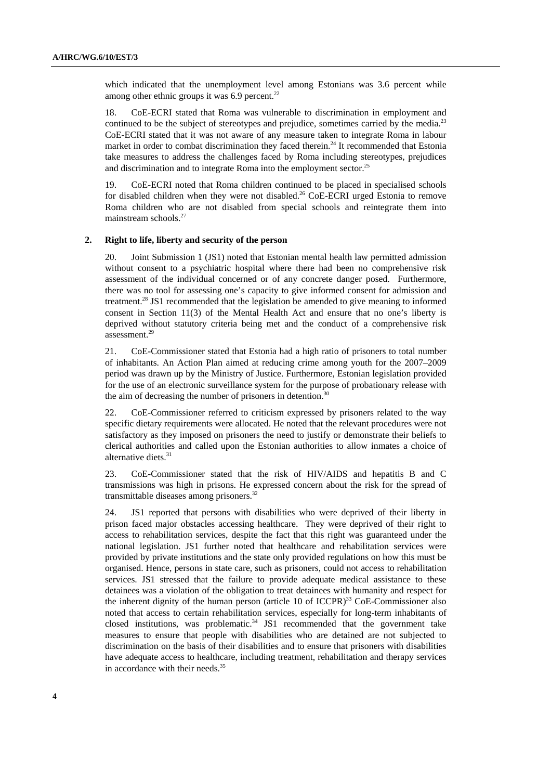which indicated that the unemployment level among Estonians was 3.6 percent while among other ethnic groups it was  $6.9$  percent.<sup>22</sup>

18. CoE-ECRI stated that Roma was vulnerable to discrimination in employment and continued to be the subject of stereotypes and prejudice, sometimes carried by the media.<sup>23</sup> CoE-ECRI stated that it was not aware of any measure taken to integrate Roma in labour market in order to combat discrimination they faced therein.<sup>24</sup> It recommended that Estonia take measures to address the challenges faced by Roma including stereotypes, prejudices and discrimination and to integrate Roma into the employment sector.<sup>25</sup>

19. CoE-ECRI noted that Roma children continued to be placed in specialised schools for disabled children when they were not disabled.<sup>26</sup> CoE-ECRI urged Estonia to remove Roma children who are not disabled from special schools and reintegrate them into mainstream schools.<sup>27</sup>

## **2. Right to life, liberty and security of the person**

20. Joint Submission 1 (JS1) noted that Estonian mental health law permitted admission without consent to a psychiatric hospital where there had been no comprehensive risk assessment of the individual concerned or of any concrete danger posed. Furthermore, there was no tool for assessing one's capacity to give informed consent for admission and treatment.<sup>28</sup> JS1 recommended that the legislation be amended to give meaning to informed consent in Section 11(3) of the Mental Health Act and ensure that no one's liberty is deprived without statutory criteria being met and the conduct of a comprehensive risk assessment.29

21. CoE-Commissioner stated that Estonia had a high ratio of prisoners to total number of inhabitants. An Action Plan aimed at reducing crime among youth for the 2007–2009 period was drawn up by the Ministry of Justice. Furthermore, Estonian legislation provided for the use of an electronic surveillance system for the purpose of probationary release with the aim of decreasing the number of prisoners in detention.<sup>3</sup>

22. CoE-Commissioner referred to criticism expressed by prisoners related to the way specific dietary requirements were allocated. He noted that the relevant procedures were not satisfactory as they imposed on prisoners the need to justify or demonstrate their beliefs to clerical authorities and called upon the Estonian authorities to allow inmates a choice of alternative diets.<sup>31</sup>

23. CoE-Commissioner stated that the risk of HIV/AIDS and hepatitis B and C transmissions was high in prisons. He expressed concern about the risk for the spread of transmittable diseases among prisoners.32

24. JS1 reported that persons with disabilities who were deprived of their liberty in prison faced major obstacles accessing healthcare. They were deprived of their right to access to rehabilitation services, despite the fact that this right was guaranteed under the national legislation. JS1 further noted that healthcare and rehabilitation services were provided by private institutions and the state only provided regulations on how this must be organised. Hence, persons in state care, such as prisoners, could not access to rehabilitation services. JS1 stressed that the failure to provide adequate medical assistance to these detainees was a violation of the obligation to treat detainees with humanity and respect for the inherent dignity of the human person (article 10 of ICCPR) $^{33}$  CoE-Commissioner also noted that access to certain rehabilitation services, especially for long-term inhabitants of closed institutions, was problematic.<sup>34</sup> JS1 recommended that the government take measures to ensure that people with disabilities who are detained are not subjected to discrimination on the basis of their disabilities and to ensure that prisoners with disabilities have adequate access to healthcare, including treatment, rehabilitation and therapy services in accordance with their needs.<sup>35</sup>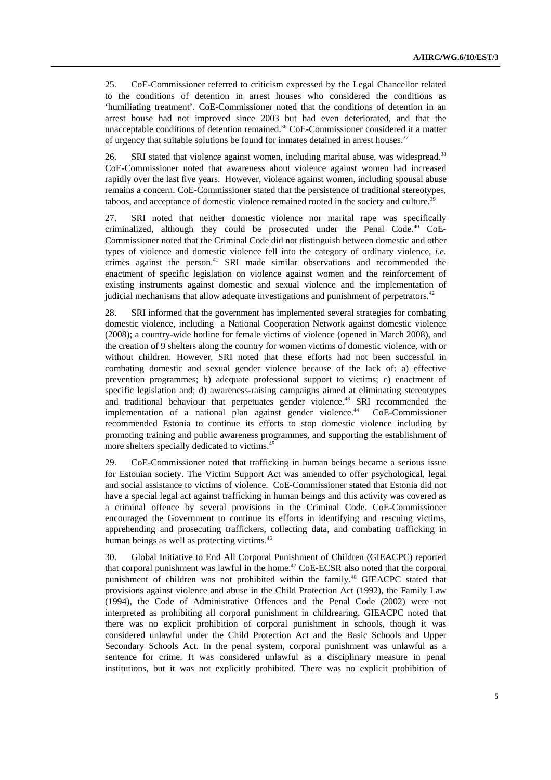25. CoE-Commissioner referred to criticism expressed by the Legal Chancellor related to the conditions of detention in arrest houses who considered the conditions as 'humiliating treatment'. CoE-Commissioner noted that the conditions of detention in an arrest house had not improved since 2003 but had even deteriorated, and that the unacceptable conditions of detention remained.36 CoE-Commissioner considered it a matter of urgency that suitable solutions be found for inmates detained in arrest houses.  $37$ 

26. SRI stated that violence against women, including marital abuse, was widespread.<sup>38</sup> CoE-Commissioner noted that awareness about violence against women had increased rapidly over the last five years. However, violence against women, including spousal abuse remains a concern. CoE-Commissioner stated that the persistence of traditional stereotypes, taboos, and acceptance of domestic violence remained rooted in the society and culture.<sup>39</sup>

27. SRI noted that neither domestic violence nor marital rape was specifically criminalized, although they could be prosecuted under the Penal Code.<sup>40</sup> CoE-Commissioner noted that the Criminal Code did not distinguish between domestic and other types of violence and domestic violence fell into the category of ordinary violence, *i.e.* crimes against the person.<sup>41</sup> SRI made similar observations and recommended the enactment of specific legislation on violence against women and the reinforcement of existing instruments against domestic and sexual violence and the implementation of judicial mechanisms that allow adequate investigations and punishment of perpetrators.<sup>42</sup>

28. SRI informed that the government has implemented several strategies for combating domestic violence, including a National Cooperation Network against domestic violence (2008); a country-wide hotline for female victims of violence (opened in March 2008), and the creation of 9 shelters along the country for women victims of domestic violence, with or without children. However, SRI noted that these efforts had not been successful in combating domestic and sexual gender violence because of the lack of: a) effective prevention programmes; b) adequate professional support to victims; c) enactment of specific legislation and; d) awareness-raising campaigns aimed at eliminating stereotypes and traditional behaviour that perpetuates gender violence.<sup>43</sup> SRI recommended the implementation of a national plan against gender violence.<sup>44</sup> CoE-Commissioner recommended Estonia to continue its efforts to stop domestic violence including by promoting training and public awareness programmes, and supporting the establishment of more shelters specially dedicated to victims.<sup>45</sup>

29. CoE-Commissioner noted that trafficking in human beings became a serious issue for Estonian society. The Victim Support Act was amended to offer psychological, legal and social assistance to victims of violence. CoE-Commissioner stated that Estonia did not have a special legal act against trafficking in human beings and this activity was covered as a criminal offence by several provisions in the Criminal Code. CoE-Commissioner encouraged the Government to continue its efforts in identifying and rescuing victims, apprehending and prosecuting traffickers, collecting data, and combating trafficking in human beings as well as protecting victims.<sup>4</sup>

30. Global Initiative to End All Corporal Punishment of Children (GIEACPC) reported that corporal punishment was lawful in the home.<sup>47</sup> CoE-ECSR also noted that the corporal punishment of children was not prohibited within the family.48 GIEACPC stated that provisions against violence and abuse in the Child Protection Act (1992), the Family Law (1994), the Code of Administrative Offences and the Penal Code (2002) were not interpreted as prohibiting all corporal punishment in childrearing. GIEACPC noted that there was no explicit prohibition of corporal punishment in schools, though it was considered unlawful under the Child Protection Act and the Basic Schools and Upper Secondary Schools Act. In the penal system, corporal punishment was unlawful as a sentence for crime. It was considered unlawful as a disciplinary measure in penal institutions, but it was not explicitly prohibited. There was no explicit prohibition of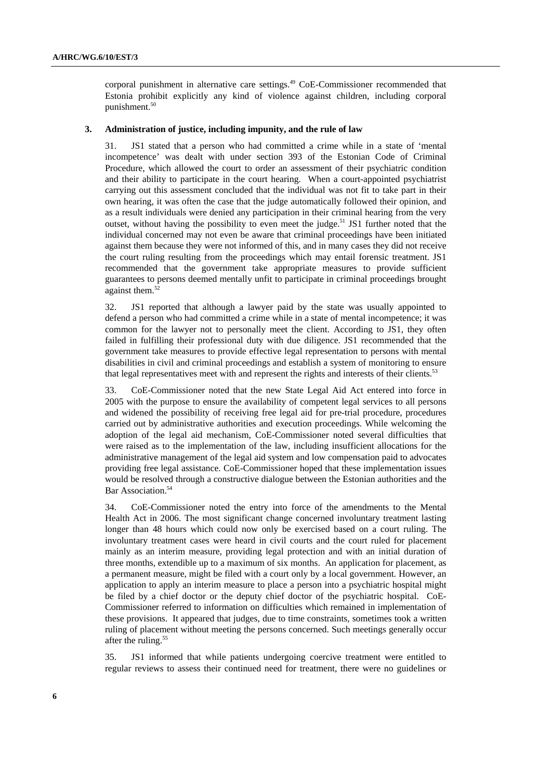corporal punishment in alternative care settings.49 CoE-Commissioner recommended that Estonia prohibit explicitly any kind of violence against children, including corporal punishment.<sup>50</sup>

#### **3. Administration of justice, including impunity, and the rule of law**

31. JS1 stated that a person who had committed a crime while in a state of 'mental incompetence' was dealt with under section 393 of the Estonian Code of Criminal Procedure, which allowed the court to order an assessment of their psychiatric condition and their ability to participate in the court hearing. When a court-appointed psychiatrist carrying out this assessment concluded that the individual was not fit to take part in their own hearing, it was often the case that the judge automatically followed their opinion, and as a result individuals were denied any participation in their criminal hearing from the very outset, without having the possibility to even meet the judge.<sup>51</sup> JS1 further noted that the individual concerned may not even be aware that criminal proceedings have been initiated against them because they were not informed of this, and in many cases they did not receive the court ruling resulting from the proceedings which may entail forensic treatment. JS1 recommended that the government take appropriate measures to provide sufficient guarantees to persons deemed mentally unfit to participate in criminal proceedings brought against them.<sup>52</sup>

32. JS1 reported that although a lawyer paid by the state was usually appointed to defend a person who had committed a crime while in a state of mental incompetence; it was common for the lawyer not to personally meet the client. According to JS1, they often failed in fulfilling their professional duty with due diligence. JS1 recommended that the government take measures to provide effective legal representation to persons with mental disabilities in civil and criminal proceedings and establish a system of monitoring to ensure that legal representatives meet with and represent the rights and interests of their clients.<sup>53</sup>

33. CoE-Commissioner noted that the new State Legal Aid Act entered into force in 2005 with the purpose to ensure the availability of competent legal services to all persons and widened the possibility of receiving free legal aid for pre-trial procedure, procedures carried out by administrative authorities and execution proceedings. While welcoming the adoption of the legal aid mechanism, CoE-Commissioner noted several difficulties that were raised as to the implementation of the law, including insufficient allocations for the administrative management of the legal aid system and low compensation paid to advocates providing free legal assistance. CoE-Commissioner hoped that these implementation issues would be resolved through a constructive dialogue between the Estonian authorities and the Bar Association.<sup>54</sup>

34. CoE-Commissioner noted the entry into force of the amendments to the Mental Health Act in 2006. The most significant change concerned involuntary treatment lasting longer than 48 hours which could now only be exercised based on a court ruling. The involuntary treatment cases were heard in civil courts and the court ruled for placement mainly as an interim measure, providing legal protection and with an initial duration of three months, extendible up to a maximum of six months. An application for placement, as a permanent measure, might be filed with a court only by a local government. However, an application to apply an interim measure to place a person into a psychiatric hospital might be filed by a chief doctor or the deputy chief doctor of the psychiatric hospital. CoE-Commissioner referred to information on difficulties which remained in implementation of these provisions. It appeared that judges, due to time constraints, sometimes took a written ruling of placement without meeting the persons concerned. Such meetings generally occur after the ruling.<sup>55</sup>

35. JS1 informed that while patients undergoing coercive treatment were entitled to regular reviews to assess their continued need for treatment, there were no guidelines or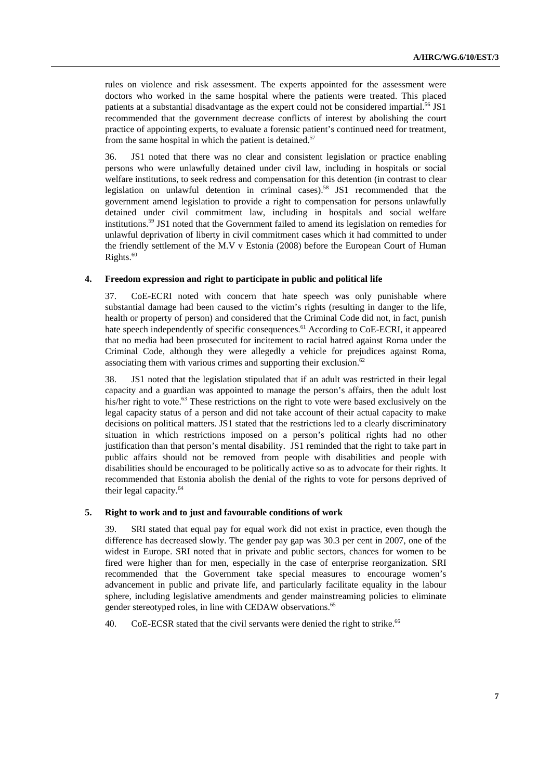rules on violence and risk assessment. The experts appointed for the assessment were doctors who worked in the same hospital where the patients were treated. This placed patients at a substantial disadvantage as the expert could not be considered impartial.<sup>56</sup> JS1 recommended that the government decrease conflicts of interest by abolishing the court practice of appointing experts, to evaluate a forensic patient's continued need for treatment, from the same hospital in which the patient is detained.<sup>57</sup>

36. JS1 noted that there was no clear and consistent legislation or practice enabling persons who were unlawfully detained under civil law, including in hospitals or social welfare institutions, to seek redress and compensation for this detention (in contrast to clear legislation on unlawful detention in criminal cases).<sup>58</sup> JS1 recommended that the government amend legislation to provide a right to compensation for persons unlawfully detained under civil commitment law, including in hospitals and social welfare institutions.59 JS1 noted that the Government failed to amend its legislation on remedies for unlawful deprivation of liberty in civil commitment cases which it had committed to under the friendly settlement of the M.V v Estonia (2008) before the European Court of Human  $Rights.60$ 

### **4. Freedom expression and right to participate in public and political life**

37. CoE-ECRI noted with concern that hate speech was only punishable where substantial damage had been caused to the victim's rights (resulting in danger to the life, health or property of person) and considered that the Criminal Code did not, in fact, punish hate speech independently of specific consequences.<sup>61</sup> According to CoE-ECRI, it appeared that no media had been prosecuted for incitement to racial hatred against Roma under the Criminal Code, although they were allegedly a vehicle for prejudices against Roma, associating them with various crimes and supporting their exclusion. $62$ 

38. JS1 noted that the legislation stipulated that if an adult was restricted in their legal capacity and a guardian was appointed to manage the person's affairs, then the adult lost his/her right to vote.<sup>63</sup> These restrictions on the right to vote were based exclusively on the legal capacity status of a person and did not take account of their actual capacity to make decisions on political matters. JS1 stated that the restrictions led to a clearly discriminatory situation in which restrictions imposed on a person's political rights had no other justification than that person's mental disability. JS1 reminded that the right to take part in public affairs should not be removed from people with disabilities and people with disabilities should be encouraged to be politically active so as to advocate for their rights. It recommended that Estonia abolish the denial of the rights to vote for persons deprived of their legal capacity.<sup>64</sup>

### **5. Right to work and to just and favourable conditions of work**

39. SRI stated that equal pay for equal work did not exist in practice, even though the difference has decreased slowly. The gender pay gap was 30.3 per cent in 2007, one of the widest in Europe. SRI noted that in private and public sectors, chances for women to be fired were higher than for men, especially in the case of enterprise reorganization. SRI recommended that the Government take special measures to encourage women's advancement in public and private life, and particularly facilitate equality in the labour sphere, including legislative amendments and gender mainstreaming policies to eliminate gender stereotyped roles, in line with CEDAW observations.<sup>65</sup>

40. CoE-ECSR stated that the civil servants were denied the right to strike.<sup>66</sup>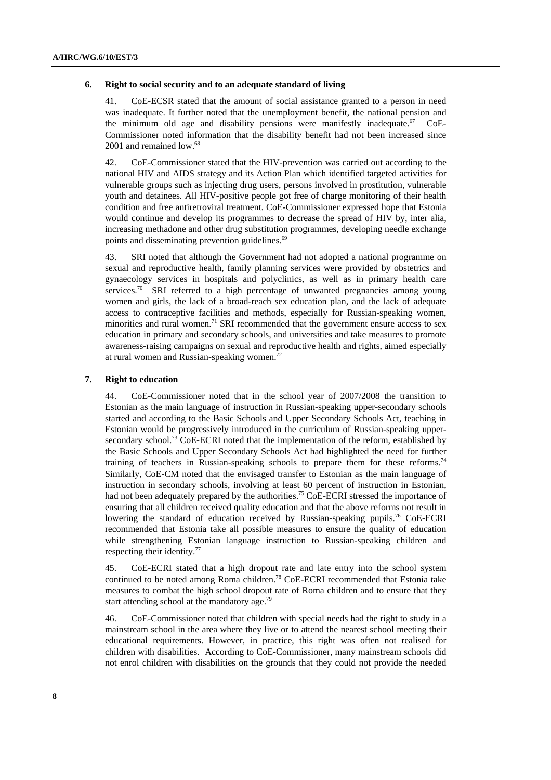#### **6. Right to social security and to an adequate standard of living**

41. CoE-ECSR stated that the amount of social assistance granted to a person in need was inadequate. It further noted that the unemployment benefit, the national pension and the minimum old age and disability pensions were manifestly inadequate.  $67$  CoE-Commissioner noted information that the disability benefit had not been increased since 2001 and remained low.<sup>68</sup>

42. CoE-Commissioner stated that the HIV-prevention was carried out according to the national HIV and AIDS strategy and its Action Plan which identified targeted activities for vulnerable groups such as injecting drug users, persons involved in prostitution, vulnerable youth and detainees. All HIV-positive people got free of charge monitoring of their health condition and free antiretroviral treatment. CoE-Commissioner expressed hope that Estonia would continue and develop its programmes to decrease the spread of HIV by, inter alia, increasing methadone and other drug substitution programmes, developing needle exchange points and disseminating prevention guidelines.<sup>69</sup>

43. SRI noted that although the Government had not adopted a national programme on sexual and reproductive health, family planning services were provided by obstetrics and gynaecology services in hospitals and polyclinics, as well as in primary health care services.<sup>70</sup> SRI referred to a high percentage of unwanted pregnancies among young women and girls, the lack of a broad-reach sex education plan, and the lack of adequate access to contraceptive facilities and methods, especially for Russian-speaking women, minorities and rural women.<sup>71</sup> SRI recommended that the government ensure access to sex education in primary and secondary schools, and universities and take measures to promote awareness-raising campaigns on sexual and reproductive health and rights, aimed especially at rural women and Russian-speaking women.72

### **7. Right to education**

44. CoE-Commissioner noted that in the school year of 2007/2008 the transition to Estonian as the main language of instruction in Russian-speaking upper-secondary schools started and according to the Basic Schools and Upper Secondary Schools Act, teaching in Estonian would be progressively introduced in the curriculum of Russian-speaking uppersecondary school.<sup>73</sup> CoE-ECRI noted that the implementation of the reform, established by the Basic Schools and Upper Secondary Schools Act had highlighted the need for further training of teachers in Russian-speaking schools to prepare them for these reforms.<sup>74</sup> Similarly, CoE-CM noted that the envisaged transfer to Estonian as the main language of instruction in secondary schools, involving at least 60 percent of instruction in Estonian, had not been adequately prepared by the authorities.<sup>75</sup> CoE-ECRI stressed the importance of ensuring that all children received quality education and that the above reforms not result in lowering the standard of education received by Russian-speaking pupils.<sup>76</sup> CoE-ECRI recommended that Estonia take all possible measures to ensure the quality of education while strengthening Estonian language instruction to Russian-speaking children and respecting their identity.77

45. CoE-ECRI stated that a high dropout rate and late entry into the school system continued to be noted among Roma children.78 CoE-ECRI recommended that Estonia take measures to combat the high school dropout rate of Roma children and to ensure that they start attending school at the mandatory age.<sup>79</sup>

46. CoE-Commissioner noted that children with special needs had the right to study in a mainstream school in the area where they live or to attend the nearest school meeting their educational requirements. However, in practice, this right was often not realised for children with disabilities. According to CoE-Commissioner, many mainstream schools did not enrol children with disabilities on the grounds that they could not provide the needed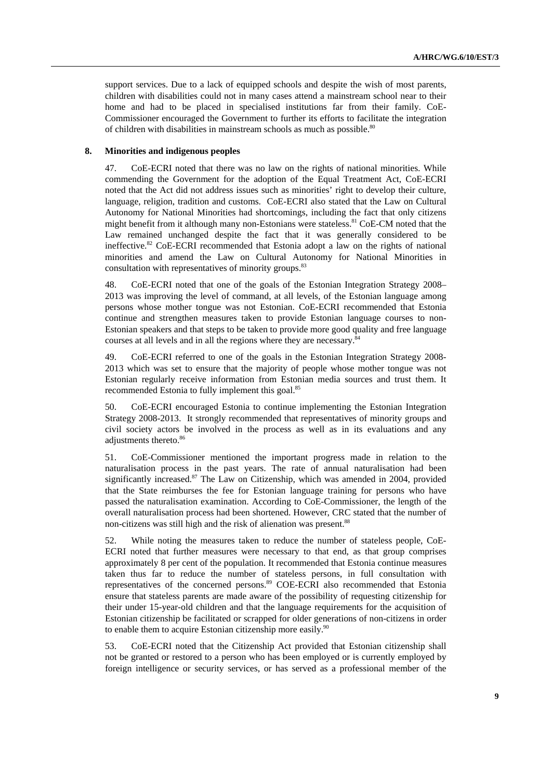support services. Due to a lack of equipped schools and despite the wish of most parents, children with disabilities could not in many cases attend a mainstream school near to their home and had to be placed in specialised institutions far from their family. CoE-Commissioner encouraged the Government to further its efforts to facilitate the integration of children with disabilities in mainstream schools as much as possible.<sup>80</sup>

### **8. Minorities and indigenous peoples**

47. CoE-ECRI noted that there was no law on the rights of national minorities. While commending the Government for the adoption of the Equal Treatment Act, CoE-ECRI noted that the Act did not address issues such as minorities' right to develop their culture, language, religion, tradition and customs. CoE-ECRI also stated that the Law on Cultural Autonomy for National Minorities had shortcomings, including the fact that only citizens might benefit from it although many non-Estonians were stateless.<sup>81</sup> CoE-CM noted that the Law remained unchanged despite the fact that it was generally considered to be ineffective.82 CoE-ECRI recommended that Estonia adopt a law on the rights of national minorities and amend the Law on Cultural Autonomy for National Minorities in consultation with representatives of minority groups.<sup>83</sup>

48. CoE-ECRI noted that one of the goals of the Estonian Integration Strategy 2008– 2013 was improving the level of command, at all levels, of the Estonian language among persons whose mother tongue was not Estonian. CoE-ECRI recommended that Estonia continue and strengthen measures taken to provide Estonian language courses to non-Estonian speakers and that steps to be taken to provide more good quality and free language courses at all levels and in all the regions where they are necessary.<sup>84</sup>

49. CoE-ECRI referred to one of the goals in the Estonian Integration Strategy 2008- 2013 which was set to ensure that the majority of people whose mother tongue was not Estonian regularly receive information from Estonian media sources and trust them. It recommended Estonia to fully implement this goal.<sup>85</sup>

50. CoE-ECRI encouraged Estonia to continue implementing the Estonian Integration Strategy 2008-2013. It strongly recommended that representatives of minority groups and civil society actors be involved in the process as well as in its evaluations and any adjustments thereto.<sup>86</sup>

51. CoE-Commissioner mentioned the important progress made in relation to the naturalisation process in the past years. The rate of annual naturalisation had been significantly increased.87 The Law on Citizenship, which was amended in 2004, provided that the State reimburses the fee for Estonian language training for persons who have passed the naturalisation examination. According to CoE-Commissioner, the length of the overall naturalisation process had been shortened. However, CRC stated that the number of non-citizens was still high and the risk of alienation was present.<sup>88</sup>

52. While noting the measures taken to reduce the number of stateless people, CoE-ECRI noted that further measures were necessary to that end, as that group comprises approximately 8 per cent of the population. It recommended that Estonia continue measures taken thus far to reduce the number of stateless persons, in full consultation with representatives of the concerned persons.89 COE-ECRI also recommended that Estonia ensure that stateless parents are made aware of the possibility of requesting citizenship for their under 15-year-old children and that the language requirements for the acquisition of Estonian citizenship be facilitated or scrapped for older generations of non-citizens in order to enable them to acquire Estonian citizenship more easily.<sup>90</sup>

53. CoE-ECRI noted that the Citizenship Act provided that Estonian citizenship shall not be granted or restored to a person who has been employed or is currently employed by foreign intelligence or security services, or has served as a professional member of the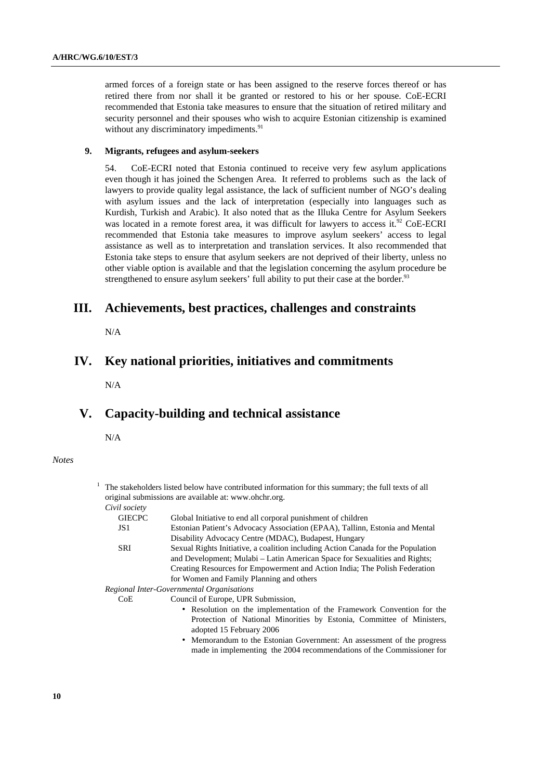armed forces of a foreign state or has been assigned to the reserve forces thereof or has retired there from nor shall it be granted or restored to his or her spouse. CoE-ECRI recommended that Estonia take measures to ensure that the situation of retired military and security personnel and their spouses who wish to acquire Estonian citizenship is examined without any discriminatory impediments.<sup>91</sup>

### **9. Migrants, refugees and asylum-seekers**

54. CoE-ECRI noted that Estonia continued to receive very few asylum applications even though it has joined the Schengen Area. It referred to problems such as the lack of lawyers to provide quality legal assistance, the lack of sufficient number of NGO's dealing with asylum issues and the lack of interpretation (especially into languages such as Kurdish, Turkish and Arabic). It also noted that as the Illuka Centre for Asylum Seekers was located in a remote forest area, it was difficult for lawyers to access it.<sup>92</sup> CoE-ECRI recommended that Estonia take measures to improve asylum seekers' access to legal assistance as well as to interpretation and translation services. It also recommended that Estonia take steps to ensure that asylum seekers are not deprived of their liberty, unless no other viable option is available and that the legislation concerning the asylum procedure be strengthened to ensure asylum seekers' full ability to put their case at the border.<sup>93</sup>

## **III. Achievements, best practices, challenges and constraints**

N/A

## **IV. Key national priorities, initiatives and commitments**

N/A

# **V. Capacity-building and technical assistance**

N/A

#### *Notes*

|                                           |               | The stakeholders listed below have contributed information for this summary; the full texts of all<br>original submissions are available at: www.ohchr.org. |
|-------------------------------------------|---------------|-------------------------------------------------------------------------------------------------------------------------------------------------------------|
|                                           | Civil society |                                                                                                                                                             |
|                                           | <b>GIECPC</b> | Global Initiative to end all corporal punishment of children                                                                                                |
|                                           | JS1           | Estonian Patient's Advocacy Association (EPAA), Tallinn, Estonia and Mental                                                                                 |
|                                           |               | Disability Advocacy Centre (MDAC), Budapest, Hungary                                                                                                        |
|                                           | SRI           | Sexual Rights Initiative, a coalition including Action Canada for the Population                                                                            |
|                                           |               | and Development; Mulabi – Latin American Space for Sexualities and Rights;                                                                                  |
|                                           |               | Creating Resources for Empowerment and Action India; The Polish Federation                                                                                  |
|                                           |               | for Women and Family Planning and others                                                                                                                    |
| Regional Inter-Governmental Organisations |               |                                                                                                                                                             |
|                                           | CoE           | Council of Europe, UPR Submission,                                                                                                                          |
|                                           |               | • Resolution on the implementation of the Framework Convention for the                                                                                      |
|                                           |               | Protection of National Minorities by Estonia, Committee of Ministers,                                                                                       |
|                                           |               | adopted 15 February 2006                                                                                                                                    |
|                                           |               | • Memorandum to the Estonian Government: An assessment of the progress                                                                                      |
|                                           |               | made in implementing the 2004 recommendations of the Commissioner for                                                                                       |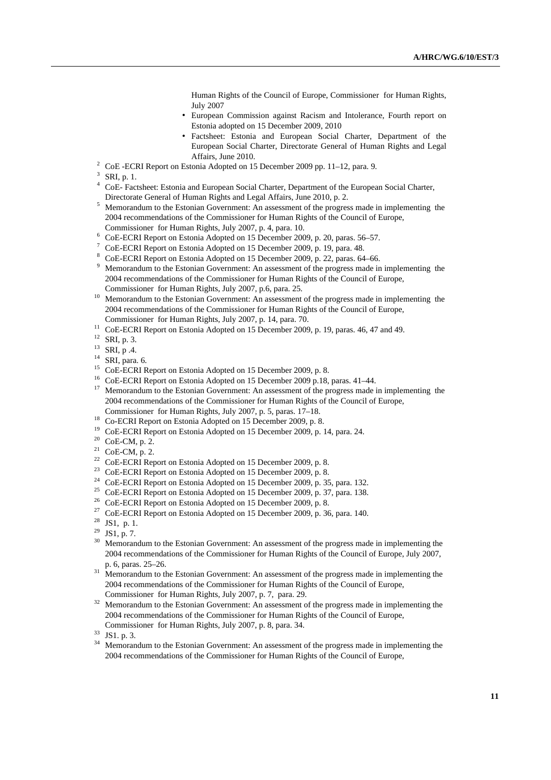Human Rights of the Council of Europe, Commissioner for Human Rights, July 2007

- European Commission against Racism and Intolerance, Fourth report on Estonia adopted on 15 December 2009, 2010
- Factsheet: Estonia and European Social Charter, Department of the European Social Charter, Directorate General of Human Rights and Legal
- Affairs, June 2010. <sup>2</sup> CoE -ECRI Report on Estonia Adopted on 15 December 2009 pp. 11–12, para. 9.  $\frac{3}{15}$  SBI p. 1.
- $3$  SRI, p. 1.
- <sup>4</sup> CoE- Factsheet: Estonia and European Social Charter, Department of the European Social Charter, Directorate General of Human Rights and Legal Affairs, June 2010, p. 2. 5
- <sup>5</sup> Memorandum to the Estonian Government: An assessment of the progress made in implementing the 2004 recommendations of the Commissioner for Human Rights of the Council of Europe, Commissioner for Human Rights, July 2007, p. 4, para. 10.
- CoE-ECRI Report on Estonia Adopted on 15 December 2009, p. 20, paras. 56–57.
- <sup>7</sup> CoE-ECRI Report on Estonia Adopted on 15 December 2009, p. 19, para. 48.
- <sup>8</sup> CoE-ECRI Report on Estonia Adopted on 15 December 2009, p. 22, paras. 64–66.
- <sup>9</sup> Memorandum to the Estonian Government: An assessment of the progress made in implementing the 2004 recommendations of the Commissioner for Human Rights of the Council of Europe,
- Commissioner for Human Rights, July 2007, p.6, para. 25.<br><sup>10</sup> Memorandum to the Estonian Government: An assessment of the progress made in implementing the 2004 recommendations of the Commissioner for Human Rights of the Council of Europe,
- Commissioner for Human Rights, July 2007, p. 14, para. 70.<br><sup>11</sup> CoE-ECRI Report on Estonia Adopted on 15 December 2009, p. 19, paras. 46, 47 and 49.<br><sup>12</sup> SRI, p. 3.
- 
- $^{13}$  SRI, p.4.
- 14 SRI, para. 6.
- <sup>15</sup> CoE-ECRI Report on Estonia Adopted on 15 December 2009, p. 8.
- <sup>16</sup> CoE-ECRI Report on Estonia Adopted on 15 December 2009 p.18, paras. 41–44.
- Memorandum to the Estonian Government: An assessment of the progress made in implementing the 2004 recommendations of the Commissioner for Human Rights of the Council of Europe,
- Commissioner for Human Rights, July 2007, p. 5, paras. 17–18. 18 Co-ECRI Report on Estonia Adopted on 15 December 2009, p. 8.
- <sup>19</sup> CoE-ECRI Report on Estonia Adopted on 15 December 2009, p. 14, para. 24.
- $20$  CoE-CM, p. 2.
- $21$  CoE-CM, p. 2.
- <sup>22</sup> CoE-ECRI Report on Estonia Adopted on 15 December 2009, p. 8.
- <sup>23</sup> CoE-ECRI Report on Estonia Adopted on 15 December 2009, p. 8.
- <sup>24</sup> CoE-ECRI Report on Estonia Adopted on 15 December 2009, p. 35, para. 132.
- <sup>25</sup> CoE-ECRI Report on Estonia Adopted on 15 December 2009, p. 37, para. 138.
- 26 CoE-ECRI Report on Estonia Adopted on 15 December 2009, p. 8.
- <sup>27</sup> CoE-ECRI Report on Estonia Adopted on 15 December 2009, p. 36, para. 140.
- 28 JS1, p. 1.
- $29$  JS1, p. 7.
- 30 Memorandum to the Estonian Government: An assessment of the progress made in implementing the 2004 recommendations of the Commissioner for Human Rights of the Council of Europe, July 2007,
- p. 6, paras. 25–26. 31 Memorandum to the Estonian Government: An assessment of the progress made in implementing the 2004 recommendations of the Commissioner for Human Rights of the Council of Europe,
- Commissioner for Human Rights, July 2007, p. 7, para. 29.<br><sup>32</sup> Memorandum to the Estonian Government: An assessment of the progress made in implementing the 2004 recommendations of the Commissioner for Human Rights of the Council of Europe, Commissioner for Human Rights, July 2007, p. 8, para. 34. JS1. p. 3.

<sup>&</sup>lt;sup>34</sup> Memorandum to the Estonian Government: An assessment of the progress made in implementing the 2004 recommendations of the Commissioner for Human Rights of the Council of Europe,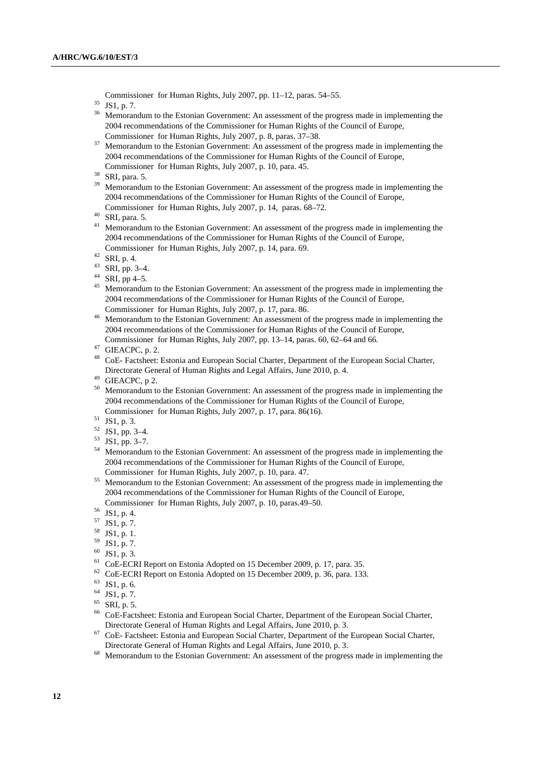Commissioner for Human Rights, July 2007, pp. 11–12, paras. 54–55.<br><sup>35</sup> JS1, p. 7.<br><sup>36</sup> Memorandum to the Estonian Government: An assessment of the progr

- 
- 36 Memorandum to the Estonian Government: An assessment of the progress made in implementing the 2004 recommendations of the Commissioner for Human Rights of the Council of Europe,
- Commissioner for Human Rights, July 2007, p. 8, paras. 37–38.<br><sup>37</sup> Memorandum to the Estonian Government: An assessment of the progress made in implementing the 2004 recommendations of the Commissioner for Human Rights of the Council of Europe, Commissioner for Human Rights, July 2007, p. 10, para. 45. 38 SRI, para. 5.
- 
- <sup>39</sup> Memorandum to the Estonian Government: An assessment of the progress made in implementing the 2004 recommendations of the Commissioner for Human Rights of the Council of Europe, Commissioner for Human Rights, July 2007, p. 14, paras. 68–72. 40 SRI, para. 5.
- <sup>41</sup> Memorandum to the Estonian Government: An assessment of the progress made in implementing the 2004 recommendations of the Commissioner for Human Rights of the Council of Europe, Commissioner for Human Rights, July 2007, p. 14, para. 69. 42 SRI, p. 4.
- 
- 43 SRI, pp. 3–4.
- $44$  SRI, pp 4–5.
- <sup>45</sup> Memorandum to the Estonian Government: An assessment of the progress made in implementing the 2004 recommendations of the Commissioner for Human Rights of the Council of Europe,
- Commissioner for Human Rights, July 2007, p. 17, para. 86. 46 Memorandum to the Estonian Government: An assessment of the progress made in implementing the 2004 recommendations of the Commissioner for Human Rights of the Council of Europe, Commissioner for Human Rights, July 2007, pp. 13–14, paras. 60, 62–64 and 66. 47 GIEACPC, p. 2.
- 
- 48 CoE- Factsheet: Estonia and European Social Charter, Department of the European Social Charter, Directorate General of Human Rights and Legal Affairs, June 2010, p. 4. 49 GIEACPC, p 2.
- 
- <sup>50</sup> Memorandum to the Estonian Government: An assessment of the progress made in implementing the 2004 recommendations of the Commissioner for Human Rights of the Council of Europe, Commissioner for Human Rights, July 2007, p. 17, para. 86(16). 51 JS1, p. 3.
- 
- $52$  JS1, pp. 3-4.
- $53$  JS1, pp. 3–7.
- <sup>54</sup> Memorandum to the Estonian Government: An assessment of the progress made in implementing the 2004 recommendations of the Commissioner for Human Rights of the Council of Europe,
- Commissioner for Human Rights, July 2007, p. 10, para. 47.<br>55 Memorandum to the Estonian Government: An assessment of the progress made in implementing the 2004 recommendations of the Commissioner for Human Rights of the Council of Europe, Commissioner for Human Rights, July 2007, p. 10, paras.49–50. 56 JS1, p. 4.
- 
- 57 JS1, p. 7.
- $58$  JS1, p. 1.
- 59 JS1, p. 7.
- $60$  JS1, p. 3.
- <sup>61</sup> CoE-ECRI Report on Estonia Adopted on 15 December 2009, p. 17, para. 35.<br><sup>62</sup> CoE ECRI Report on Estonia Adopted on 15 December 2000, p. 36, para. 133
- 62 CoE-ECRI Report on Estonia Adopted on 15 December 2009, p. 36, para. 133.
- 63 JS1, p. 6.
- $^{64}$  JS1, p. 7.<br> $^{65}$  SPI p. 5
- SRI, p. 5.
- 66 CoE-Factsheet: Estonia and European Social Charter, Department of the European Social Charter,
- Directorate General of Human Rights and Legal Affairs, June 2010, p. 3.<br>CoE- Factsheet: Estonia and European Social Charter, Department of the European Social Charter,<br>Directorate General of Human Rights and Legal Affairs,
- $68$  Memorandum to the Estonian Government: An assessment of the progress made in implementing the